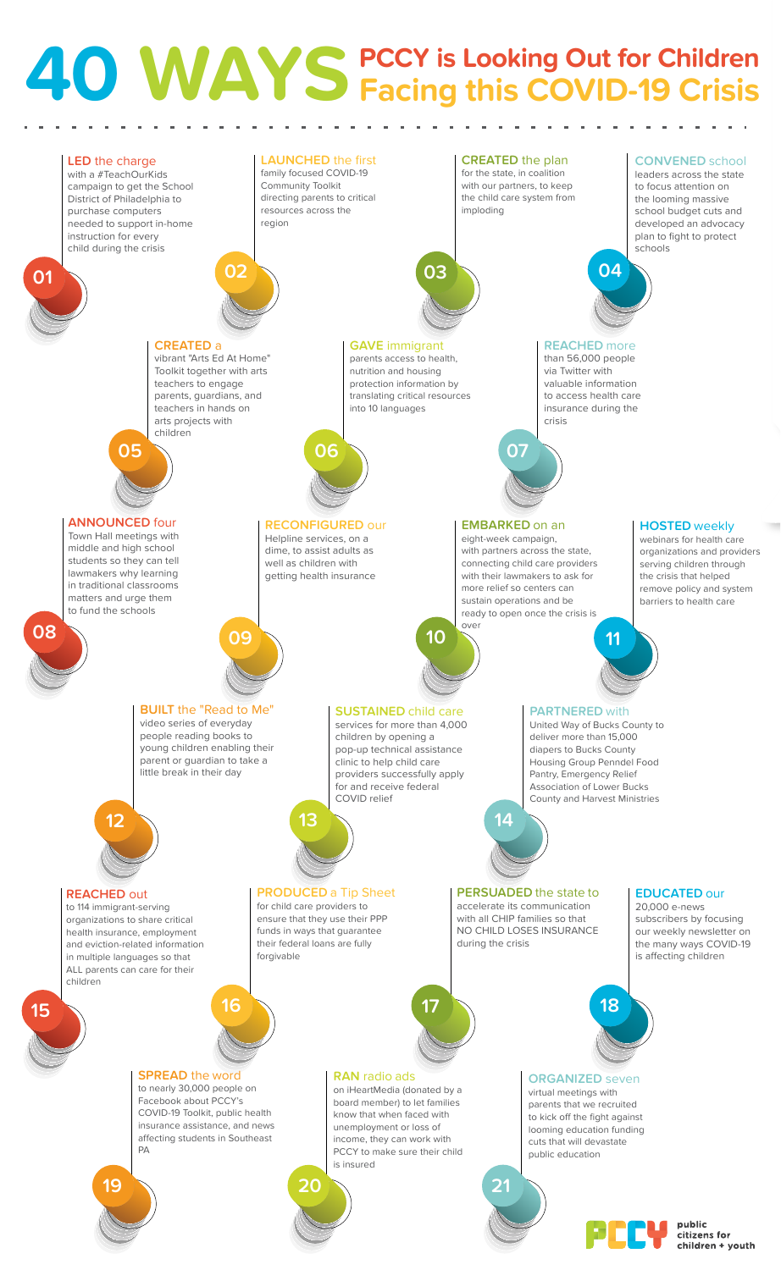## **40 WAYS PCCY is Looking Out for Children Facing this COVID-19 Crisis**